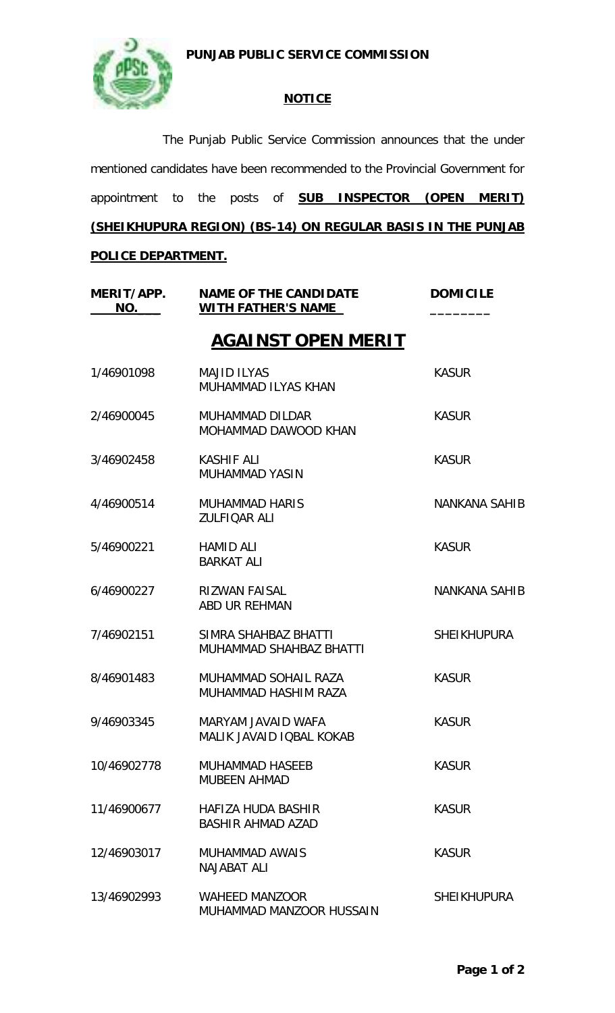**PUNJAB PUBLIC SERVICE COMMISSION**



## **NOTICE**

The Punjab Public Service Commission announces that the under mentioned candidates have been recommended to the Provincial Government for appointment to the posts of **SUB INSPECTOR (OPEN MERIT) (SHEIKHUPURA REGION) (BS-14) ON REGULAR BASIS IN THE PUNJAB** 

## **POLICE DEPARTMENT.**

| MERIT/APP.<br>NO. | <b>NAME OF THE CANDIDATE</b><br><b>WITH FATHER'S NAME</b> | <b>DOMICILE</b>      |  |
|-------------------|-----------------------------------------------------------|----------------------|--|
|                   | <b>AGAINST OPEN MERIT</b>                                 |                      |  |
| 1/46901098        | <b>MAJID ILYAS</b><br>MUHAMMAD ILYAS KHAN                 | <b>KASUR</b>         |  |
| 2/46900045        | MUHAMMAD DILDAR<br>MOHAMMAD DAWOOD KHAN                   | <b>KASUR</b>         |  |
| 3/46902458        | <b>KASHIF ALI</b><br><b>MUHAMMAD YASIN</b>                | <b>KASUR</b>         |  |
| 4/46900514        | <b>MUHAMMAD HARIS</b><br><b>ZULFIQAR ALI</b>              | <b>NANKANA SAHIB</b> |  |
| 5/46900221        | <b>HAMID ALI</b><br><b>BARKAT ALI</b>                     | <b>KASUR</b>         |  |
| 6/46900227        | <b>RIZWAN FAISAL</b><br>ABD UR REHMAN                     | <b>NANKANA SAHIB</b> |  |
| 7/46902151        | SIMRA SHAHBAZ BHATTI<br><b>MUHAMMAD SHAHBAZ BHATTI</b>    | <b>SHEIKHUPURA</b>   |  |
| 8/46901483        | MUHAMMAD SOHAIL RAZA<br>MUHAMMAD HASHIM RAZA              | <b>KASUR</b>         |  |
| 9/46903345        | MARYAM JAVAID WAFA<br>MALIK JAVAID IQBAL KOKAB            | <b>KASUR</b>         |  |
| 10/46902778       | <b>MUHAMMAD HASEEB</b><br><b>MUBEEN AHMAD</b>             | <b>KASUR</b>         |  |
| 11/46900677       | HAFIZA HUDA BASHIR<br><b>BASHIR AHMAD AZAD</b>            | <b>KASUR</b>         |  |
| 12/46903017       | <b>MUHAMMAD AWAIS</b><br><b>NAJABAT ALL</b>               | <b>KASUR</b>         |  |
| 13/46902993       | <b>WAHEED MANZOOR</b><br>MUHAMMAD MANZOOR HUSSAIN         | <b>SHEIKHUPURA</b>   |  |